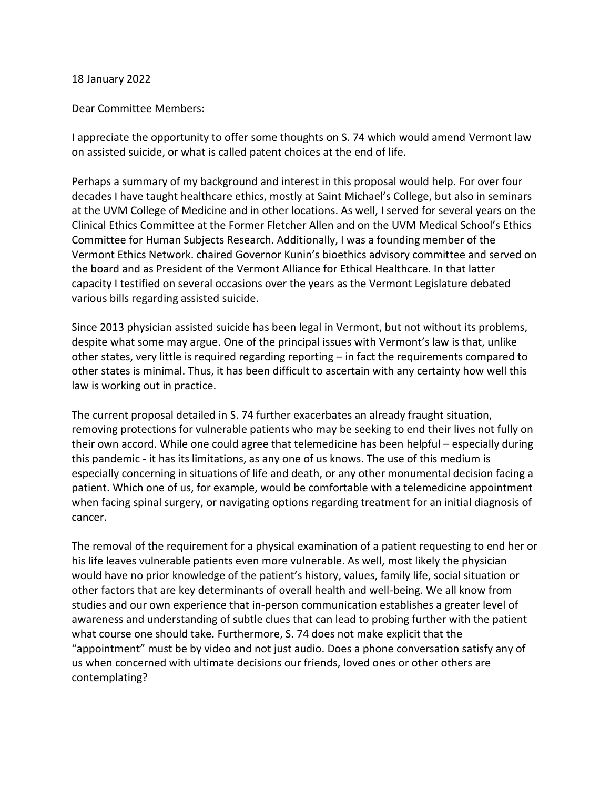## 18 January 2022

## Dear Committee Members:

I appreciate the opportunity to offer some thoughts on S. 74 which would amend Vermont law on assisted suicide, or what is called patent choices at the end of life.

Perhaps a summary of my background and interest in this proposal would help. For over four decades I have taught healthcare ethics, mostly at Saint Michael's College, but also in seminars at the UVM College of Medicine and in other locations. As well, I served for several years on the Clinical Ethics Committee at the Former Fletcher Allen and on the UVM Medical School's Ethics Committee for Human Subjects Research. Additionally, I was a founding member of the Vermont Ethics Network. chaired Governor Kunin's bioethics advisory committee and served on the board and as President of the Vermont Alliance for Ethical Healthcare. In that latter capacity I testified on several occasions over the years as the Vermont Legislature debated various bills regarding assisted suicide.

Since 2013 physician assisted suicide has been legal in Vermont, but not without its problems, despite what some may argue. One of the principal issues with Vermont's law is that, unlike other states, very little is required regarding reporting – in fact the requirements compared to other states is minimal. Thus, it has been difficult to ascertain with any certainty how well this law is working out in practice.

The current proposal detailed in S. 74 further exacerbates an already fraught situation, removing protections for vulnerable patients who may be seeking to end their lives not fully on their own accord. While one could agree that telemedicine has been helpful – especially during this pandemic - it has its limitations, as any one of us knows. The use of this medium is especially concerning in situations of life and death, or any other monumental decision facing a patient. Which one of us, for example, would be comfortable with a telemedicine appointment when facing spinal surgery, or navigating options regarding treatment for an initial diagnosis of cancer.

The removal of the requirement for a physical examination of a patient requesting to end her or his life leaves vulnerable patients even more vulnerable. As well, most likely the physician would have no prior knowledge of the patient's history, values, family life, social situation or other factors that are key determinants of overall health and well-being. We all know from studies and our own experience that in-person communication establishes a greater level of awareness and understanding of subtle clues that can lead to probing further with the patient what course one should take. Furthermore, S. 74 does not make explicit that the "appointment" must be by video and not just audio. Does a phone conversation satisfy any of us when concerned with ultimate decisions our friends, loved ones or other others are contemplating?